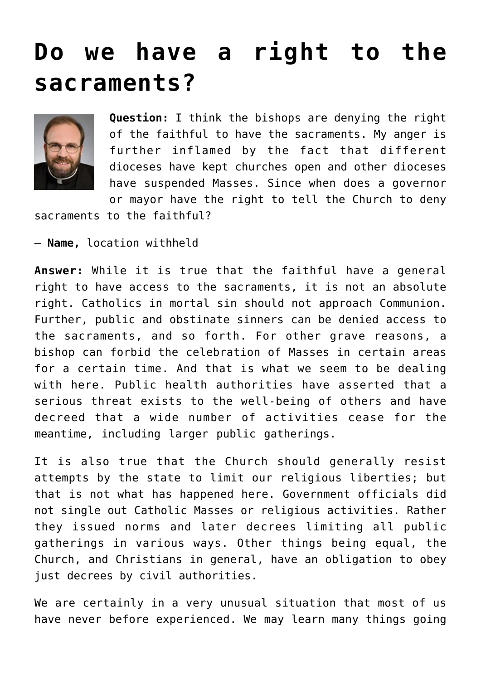## **[Do we have a right to the](https://www.osvnews.com/2020/03/23/do-we-have-a-right-to-the-sacraments/) [sacraments?](https://www.osvnews.com/2020/03/23/do-we-have-a-right-to-the-sacraments/)**



**Question:** I think the bishops are denying the right of the faithful to have the sacraments. My anger is further inflamed by the fact that different dioceses have kept churches open and other dioceses have suspended Masses. Since when does a governor or mayor have the right to tell the Church to deny

sacraments to the faithful?

— **Name,** location withheld

**Answer:** While it is true that the faithful have a general right to have access to the sacraments, it is not an absolute right. Catholics in mortal sin should not approach Communion. Further, public and obstinate sinners can be denied access to the sacraments, and so forth. For other grave reasons, a bishop can forbid the celebration of Masses in certain areas for a certain time. And that is what we seem to be dealing with here. Public health authorities have asserted that a serious threat exists to the well-being of others and have decreed that a wide number of activities cease for the meantime, including larger public gatherings.

It is also true that the Church should generally resist attempts by the state to limit our religious liberties; but that is not what has happened here. Government officials did not single out Catholic Masses or religious activities. Rather they issued norms and later decrees limiting all public gatherings in various ways. Other things being equal, the Church, and Christians in general, have an obligation to obey just decrees by civil authorities.

We are certainly in a very unusual situation that most of us have never before experienced. We may learn many things going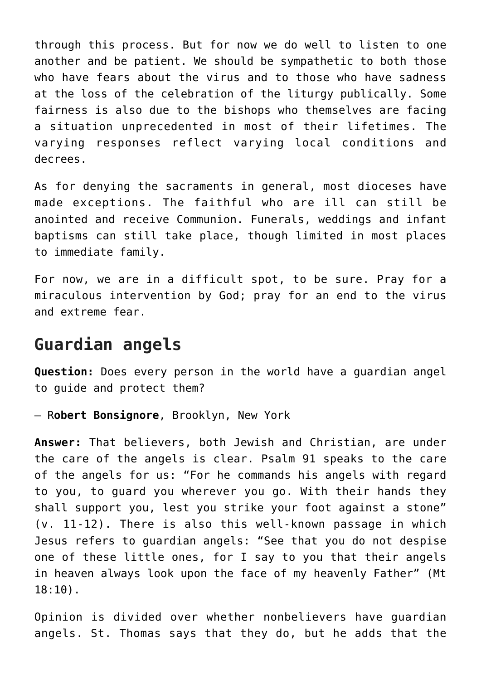through this process. But for now we do well to listen to one another and be patient. We should be sympathetic to both those who have fears about the virus and to those who have sadness at the loss of the celebration of the liturgy publically. Some fairness is also due to the bishops who themselves are facing a situation unprecedented in most of their lifetimes. The varying responses reflect varying local conditions and decrees.

As for denying the sacraments in general, most dioceses have made exceptions. The faithful who are ill can still be anointed and receive Communion. Funerals, weddings and infant baptisms can still take place, though limited in most places to immediate family.

For now, we are in a difficult spot, to be sure. Pray for a miraculous intervention by God; pray for an end to the virus and extreme fear.

## **Guardian angels**

**Question:** Does every person in the world have a guardian angel to guide and protect them?

— R**obert Bonsignore**, Brooklyn, New York

**Answer:** That believers, both Jewish and Christian, are under the care of the angels is clear. Psalm 91 speaks to the care of the angels for us: "For he commands his angels with regard to you, to guard you wherever you go. With their hands they shall support you, lest you strike your foot against a stone" (v. 11-12). There is also this well-known passage in which Jesus refers to guardian angels: "See that you do not despise one of these little ones, for I say to you that their angels in heaven always look upon the face of my heavenly Father" (Mt 18:10).

Opinion is divided over whether nonbelievers have guardian angels. St. Thomas says that they do, but he adds that the